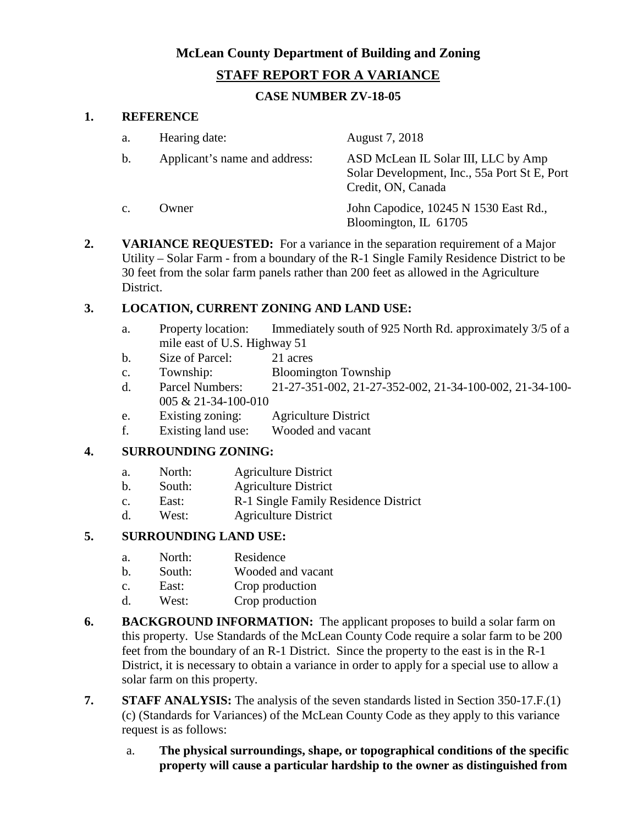# **McLean County Department of Building and Zoning STAFF REPORT FOR A VARIANCE**

# **CASE NUMBER ZV-18-05**

#### **1. REFERENCE**

| a.             | Hearing date:                 | August 7, 2018                                                                                            |
|----------------|-------------------------------|-----------------------------------------------------------------------------------------------------------|
| $\mathbf{b}$ . | Applicant's name and address: | ASD McLean IL Solar III, LLC by Amp<br>Solar Development, Inc., 55a Port St E, Port<br>Credit, ON, Canada |
| $\mathbf{c}$ . | Owner                         | John Capodice, 10245 N 1530 East Rd.,<br>Bloomington, IL 61705                                            |

**2. VARIANCE REQUESTED:** For a variance in the separation requirement of a Major Utility – Solar Farm - from a boundary of the R-1 Single Family Residence District to be 30 feet from the solar farm panels rather than 200 feet as allowed in the Agriculture District.

### **3. LOCATION, CURRENT ZONING AND LAND USE:**

- a. Property location: Immediately south of 925 North Rd. approximately 3/5 of a mile east of U.S. Highway 51
- b. Size of Parcel: 21 acres
- c. Township: Bloomington Township
- d. Parcel Numbers: 21-27-351-002, 21-27-352-002, 21-34-100-002, 21-34-100- 005 & 21-34-100-010
- e. Existing zoning: Agriculture District
- f. Existing land use: Wooded and vacant

# **4. SURROUNDING ZONING:**

- a. North: Agriculture District
- b. South: Agriculture District
- c. East: R-1 Single Family Residence District
- d. West: Agriculture District

### **5. SURROUNDING LAND USE:**

- a. North: Residence
- b. South: Wooded and vacant
- c. East: Crop production
- d. West: Crop production
- **6. BACKGROUND INFORMATION:** The applicant proposes to build a solar farm on this property. Use Standards of the McLean County Code require a solar farm to be 200 feet from the boundary of an R-1 District. Since the property to the east is in the R-1 District, it is necessary to obtain a variance in order to apply for a special use to allow a solar farm on this property.
- **7. STAFF ANALYSIS:** The analysis of the seven standards listed in Section 350-17.F.(1) (c) (Standards for Variances) of the McLean County Code as they apply to this variance request is as follows:
	- a. **The physical surroundings, shape, or topographical conditions of the specific property will cause a particular hardship to the owner as distinguished from**